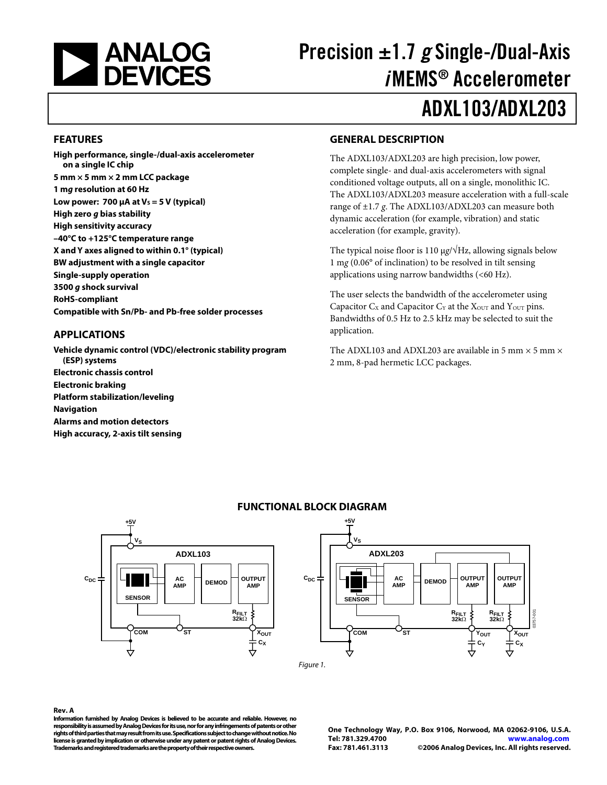<span id="page-0-0"></span>

# Precision  $\pm 1.7$  g Single-/Dual-Axis iMEMS® Accelerometer

# ADXL103/ADXL203

#### **FEATURES**

**High performance, single-/dual-axis accelerometer on a single IC chip 5 mm × 5 mm × 2 mm LCC package 1 mg resolution at 60 Hz**  Low power: 700  $\mu$ A at V<sub>s</sub> = 5 V (typical) **High zero g bias stability High sensitivity accuracy –40°C to +125°C temperature range X and Y axes aligned to within 0.1° (typical) BW adjustment with a single capacitor Single-supply operation 3500 g shock survival RoHS-compliant Compatible with Sn/Pb- and Pb-free solder processes** 

#### **APPLICATIONS**

**Vehicle dynamic control (VDC)/electronic stability program (ESP) systems Electronic chassis control Electronic braking Platform stabilization/leveling Navigation Alarms and motion detectors High accuracy, 2-axis tilt sensing** 

#### **GENERAL DESCRIPTION**

The ADXL103/ADXL203 are high precision, low power, complete single- and dual-axis accelerometers with signal conditioned voltage outputs, all on a single, monolithic IC. The ADXL103/ADXL203 measure acceleration with a full-scale range of ±1.7 *g*. The ADXL103/ADXL203 can measure both dynamic acceleration (for example, vibration) and static acceleration (for example, gravity).

The typical noise floor is 110 μ*g*/√Hz, allowing signals below 1 m*g* (0.06° of inclination) to be resolved in tilt sensing applications using narrow bandwidths (<60 Hz).

The user selects the bandwidth of the accelerometer using Capacitor  $C_X$  and Capacitor  $C_Y$  at the X<sub>OUT</sub> and Y<sub>OUT</sub> pins. Bandwidths of 0.5 Hz to 2.5 kHz may be selected to suit the application.

The ADXL103 and ADXL203 are available in 5 mm  $\times$  5 mm  $\times$ 2 mm, 8-pad hermetic LCC packages.



#### **FUNCTIONAL BLOCK DIAGRAM**

#### **Rev. A**

**Information furnished by Analog Devices is believed to be accurate and reliable. However, no responsibility is assumed by Analog Devices for its use, nor for any infringements of patents or other rights of third parties that may result from its use. Specifications subject to change without notice. No license is granted by implication or otherwise under any patent or patent rights of Analog Devices. Trademarks and registered trademarks are the property of their respective owners.** 

**One Technology Way, P.O. Box 9106, Norwood, MA 02062-9106, U.S.A. Tel: 781.329.4700 www.analog.com Fax: 781.461.3113 ©2006 Analog Devices, Inc. All rights reserved.**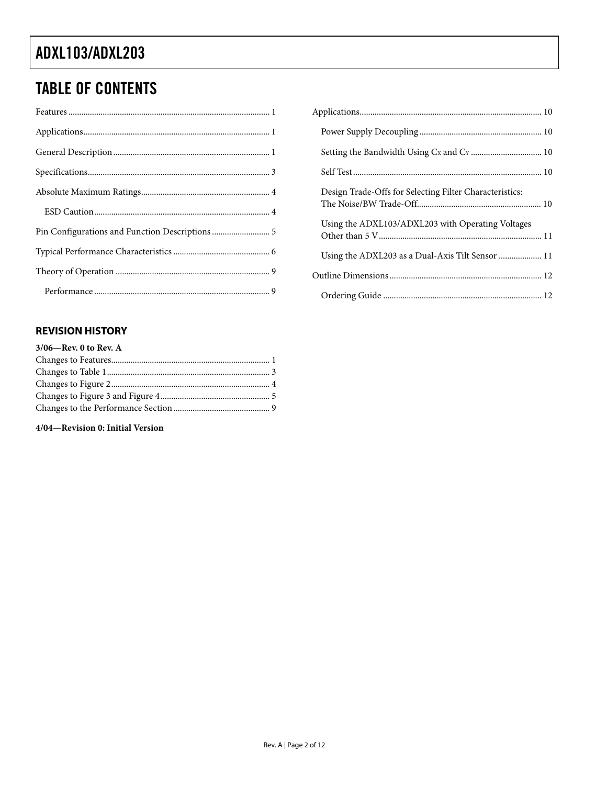### **TABLE OF CONTENTS**

### **REVISION HISTORY**

| $3/06$ —Rev. 0 to Rev. A |  |
|--------------------------|--|
|                          |  |
|                          |  |
|                          |  |
|                          |  |
|                          |  |

#### 4/04-Revision 0: Initial Version

| Design Trade-Offs for Selecting Filter Characteristics: |  |
|---------------------------------------------------------|--|
| Using the ADXL103/ADXL203 with Operating Voltages       |  |
| Using the ADXL203 as a Dual-Axis Tilt Sensor  11        |  |
|                                                         |  |
|                                                         |  |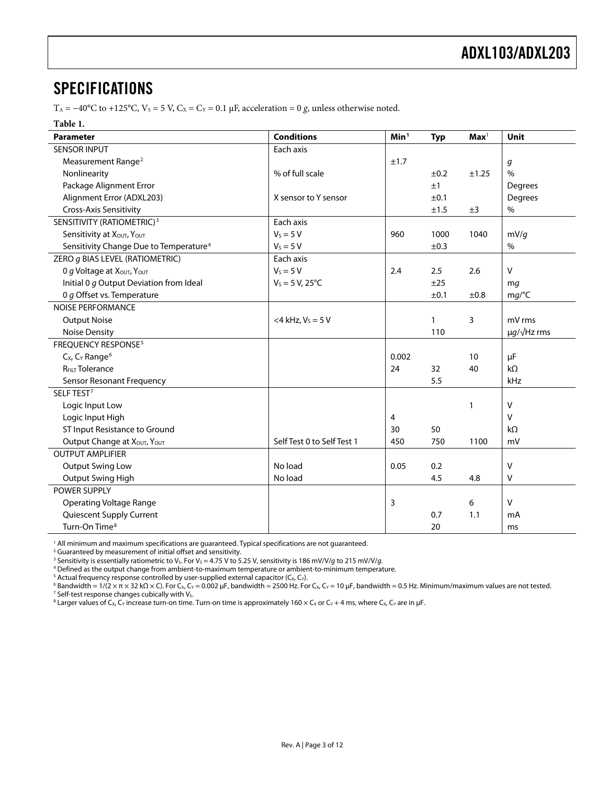### <span id="page-2-0"></span>SPECIFICATIONS

T<sub>A</sub> = −40°C to +125°C, V<sub>S</sub> = 5 V, C<sub>X</sub> = C<sub>Y</sub> = 0.1 µF, acceleration = 0 *g*, unless otherwise noted.

#### **Table 1.**

<span id="page-2-1"></span>

| <b>Parameter</b>                                   | <b>Conditions</b>          | Min <sup>1</sup> | <b>Typ</b> | $\mathbf{Max}^1$ | <b>Unit</b>           |
|----------------------------------------------------|----------------------------|------------------|------------|------------------|-----------------------|
| <b>SENSOR INPUT</b>                                | Each axis                  |                  |            |                  |                       |
| Measurement Range <sup>2</sup>                     |                            | ±1.7             |            |                  | g                     |
| Nonlinearity                                       | % of full scale            |                  | ±0.2       | ±1.25            | $\%$                  |
| Package Alignment Error                            |                            |                  | ±1         |                  | Degrees               |
| Alignment Error (ADXL203)                          | X sensor to Y sensor       |                  | ±0.1       |                  | Degrees               |
| <b>Cross-Axis Sensitivity</b>                      |                            |                  | ±1.5       | ±3               | $\%$                  |
| SENSITIVITY (RATIOMETRIC) <sup>3</sup>             | Each axis                  |                  |            |                  |                       |
| Sensitivity at XOUT, YOUT                          | $V_s = 5 V$                | 960              | 1000       | 1040             | mV/q                  |
| Sensitivity Change Due to Temperature <sup>4</sup> | $V_s = 5 V$                |                  | ±0.3       |                  | $\%$                  |
| ZERO g BIAS LEVEL (RATIOMETRIC)                    | Each axis                  |                  |            |                  |                       |
| 0 g Voltage at X <sub>out</sub> , Y <sub>out</sub> | $V_S = 5 V$                | 2.4              | 2.5        | 2.6              | $\mathsf{V}$          |
| Initial 0 g Output Deviation from Ideal            | $V_s = 5 V, 25^{\circ}C$   |                  | ±25        |                  | mq                    |
| 0 g Offset vs. Temperature                         |                            |                  | ±0.1       | ±0.8             | mg/C                  |
| <b>NOISE PERFORMANCE</b>                           |                            |                  |            |                  |                       |
| <b>Output Noise</b>                                | $<$ 4 kHz, $V_S$ = 5 V     |                  | 1          | 3                | mV rms                |
| <b>Noise Density</b>                               |                            |                  | 110        |                  | $\mu g/\sqrt{Hz}$ rms |
| <b>FREQUENCY RESPONSE<sup>5</sup></b>              |                            |                  |            |                  |                       |
| $Cx$ , $Cx$ Range <sup>6</sup>                     |                            | 0.002            |            | 10               | μF                    |
| <b>REILT Tolerance</b>                             |                            | 24               | 32         | 40               | $k\Omega$             |
| <b>Sensor Resonant Frequency</b>                   |                            |                  | 5.5        |                  | kHz                   |
| SELF TEST <sup>7</sup>                             |                            |                  |            |                  |                       |
| Logic Input Low                                    |                            |                  |            | 1                | V                     |
| Logic Input High                                   |                            | 4                |            |                  | $\vee$                |
| ST Input Resistance to Ground                      |                            | 30               | 50         |                  | $k\Omega$             |
| Output Change at XOUT, YOUT                        | Self Test 0 to Self Test 1 | 450              | 750        | 1100             | mV                    |
| <b>OUTPUT AMPLIFIER</b>                            |                            |                  |            |                  |                       |
| <b>Output Swing Low</b>                            | No load                    | 0.05             | 0.2        |                  | $\vee$                |
| Output Swing High                                  | No load                    |                  | 4.5        | 4.8              | V                     |
| <b>POWER SUPPLY</b>                                |                            |                  |            |                  |                       |
| <b>Operating Voltage Range</b>                     |                            | 3                |            | 6                | V                     |
| Quiescent Supply Current                           |                            |                  | 0.7        | 1.1              | mA                    |
| Turn-On Time <sup>8</sup>                          |                            |                  | 20         |                  | ms                    |

<sup>1</sup> All minimum and maximum specifications are guaranteed. Typical specifications are not guaranteed.<br><sup>2</sup> Guaranteed by measurement of initial offset and sensitivity

<sup>2</sup> Guaranteed by measurement of initial offset and sensitivity.

<sup>3</sup> Sensitivity is essentially ratiometric to V<sub>S</sub>. For V<sub>S</sub> = 4.75 V to 5.25 V, sensitivity is 186 mV/V/g to 215 mV/V/g.

Defined as the output change from ambient-to-maximum temperature or ambient-to-minimum temperature.

<sup>5</sup> Actual frequency response controlled by user-supplied external capacitor (C<sub>X</sub>, C<sub>Y</sub>).<br><sup>6</sup> Bandwidth = 1/(2 × π × 32 kO × C). For C× C× = 0.002 uE. bandwidth = 2500 Hz. For

 $6$  Bandwidth = 1/(2 × π × 32 kΩ × C). For C<sub>X</sub>, C<sub>Y</sub> = 0.002 μF, bandwidth = 2500 Hz. For C<sub>X</sub>, C<sub>Y</sub> = 10 μF, bandwidth = 0.5 Hz. Minimum/maximum values are not tested.  $\frac{7}{1}$  Self-test response changes cubically with Vs.

<sup>8</sup> Larger values of C<sub>X</sub>, C<sub>Y</sub> increase turn-on time. Turn-on time is approximately 160 × C<sub>X</sub> or C<sub>Y</sub> + 4 ms, where C<sub>X</sub>, C<sub>Y</sub> are in µF.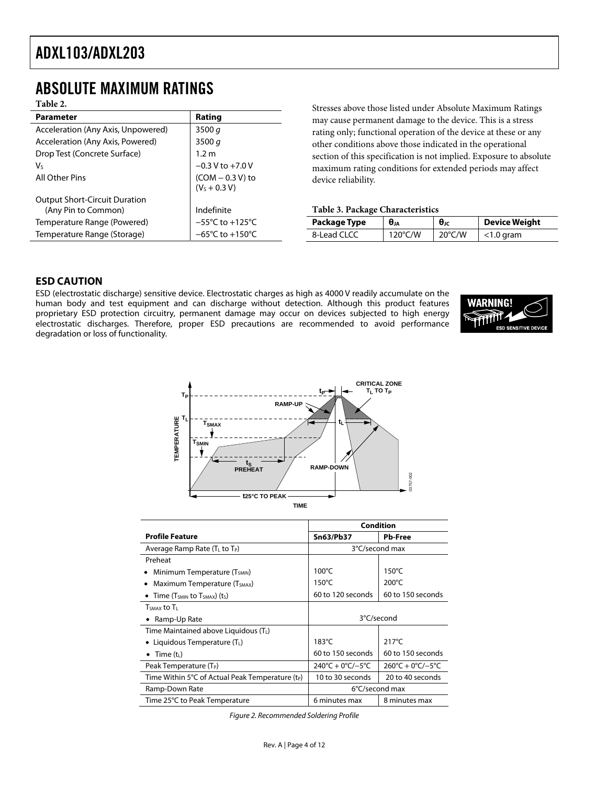### <span id="page-3-0"></span>ABSOLUTE MAXIMUM RATINGS

**Table 2.** 

| Parameter                                                   | Rating                               |
|-------------------------------------------------------------|--------------------------------------|
| Acceleration (Any Axis, Unpowered)                          | 3500 $q$                             |
| Acceleration (Any Axis, Powered)                            | 3500 $q$                             |
| Drop Test (Concrete Surface)                                | 1.2 m                                |
| V٢                                                          | $-0.3 V$ to $+7.0 V$                 |
| All Other Pins                                              | $(COM - 0.3 V)$ to<br>$(V5 + 0.3 V)$ |
| <b>Output Short-Circuit Duration</b><br>(Any Pin to Common) | Indefinite                           |
| Temperature Range (Powered)                                 | $-55^{\circ}$ C to $+125^{\circ}$ C  |
| Temperature Range (Storage)                                 | $-65^{\circ}$ C to $+150^{\circ}$ C  |

Stresses above those listed under Absolute Maximum Ratings may cause permanent damage to the device. This is a stress rating only; functional operation of the device at these or any other conditions above those indicated in the operational section of this specification is not implied. Exposure to absolute maximum rating conditions for extended periods may affect device reliability.

#### **Table 3. Package Characteristics**

| Package Type<br>θJA |                   | $\theta$ JC      | Device Weight |
|---------------------|-------------------|------------------|---------------|
| 8-Lead CLCC         | $120^{\circ}$ C/W | $20^{\circ}$ C/W | $<$ 1.0 gram  |

#### **ESD CAUTION**

ESD (electrostatic discharge) sensitive device. Electrostatic charges as high as 4000 V readily accumulate on the human body and test equipment and can discharge without detection. Although this product features proprietary ESD protection circuitry, permanent damage may occur on devices subjected to high energy electrostatic discharges. Therefore, proper ESD precautions are recommended to avoid performance degradation or loss of functionality.





|                                                              | Condition                               |                                         |  |
|--------------------------------------------------------------|-----------------------------------------|-----------------------------------------|--|
| <b>Profile Feature</b>                                       | <b>Sn63/Pb37</b>                        | <b>Pb-Free</b>                          |  |
| Average Ramp Rate ( $T_L$ to $T_P$ )                         |                                         | 3°C/second max                          |  |
| Preheat                                                      |                                         |                                         |  |
| Minimum Temperature (T <sub>SMIN</sub> )                     | $100^{\circ}$ C                         | $150^{\circ}$ C                         |  |
| Maximum Temperature (T <sub>SMAX</sub> )                     | $150^{\circ}$ C                         | $200^{\circ}$ C                         |  |
| • Time ( $T_{SMIN}$ to $T_{SMAX}$ ) (t <sub>s</sub> )        | 60 to 120 seconds                       | 60 to 150 seconds                       |  |
| T <sub>SMAX</sub> to T <sub>L</sub>                          |                                         |                                         |  |
| • Ramp-Up Rate                                               | 3°C/second                              |                                         |  |
| Time Maintained above Liquidous (TL)                         |                                         |                                         |  |
| • Liquidous Temperature $(T_L)$                              | $183^{\circ}$ C                         | $217^{\circ}$ C                         |  |
| Time $(t_L)$                                                 | 60 to 150 seconds                       | 60 to 150 seconds                       |  |
| Peak Temperature (T <sub>P</sub> )                           | $240^{\circ}C + 0^{\circ}C/-5^{\circ}C$ | $260^{\circ}C + 0^{\circ}C/-5^{\circ}C$ |  |
| Time Within 5°C of Actual Peak Temperature (t <sub>P</sub> ) | 10 to 30 seconds                        | 20 to 40 seconds                        |  |
| Ramp-Down Rate                                               | 6°C/second max                          |                                         |  |
| Time 25°C to Peak Temperature                                | 6 minutes max                           | 8 minutes max                           |  |

Figure 2. Recommended Soldering Profile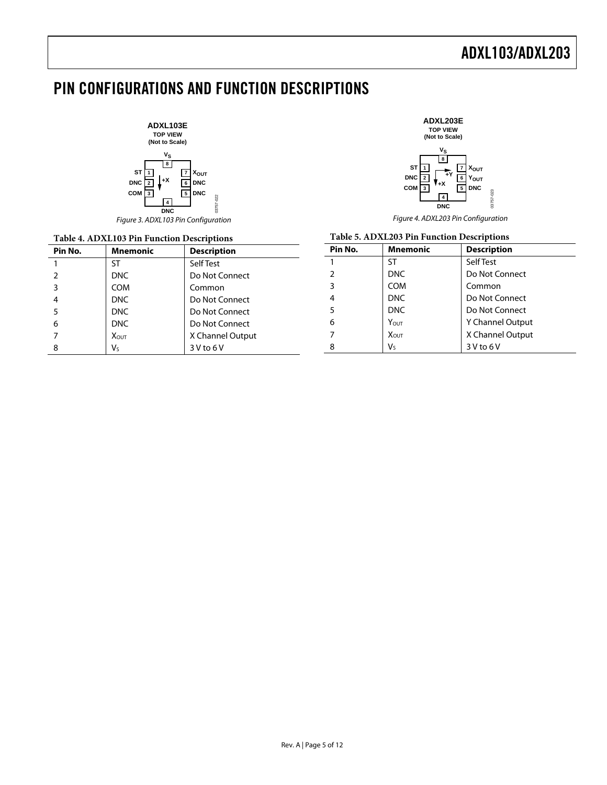### <span id="page-4-0"></span>PIN CONFIGURATIONS AND FUNCTION DESCRIPTIONS

03757-022

03757-022



 $Fianre 3. ADYI 103 Din Confi$ 

| <u>I Igule 5. ADAL I 05 FIII Coilliguidhoil</u> |                 |                    |  |
|-------------------------------------------------|-----------------|--------------------|--|
| Table 4. ADXL103 Pin Function Descriptions      |                 |                    |  |
| Pin No.                                         | <b>Mnemonic</b> | <b>Description</b> |  |
| 1                                               | ST              | Self Test          |  |
| 2                                               | <b>DNC</b>      | Do Not Connect     |  |
| 3                                               | <b>COM</b>      | Common             |  |
| 4                                               | <b>DNC</b>      | Do Not Connect     |  |
| 5                                               | <b>DNC</b>      | Do Not Connect     |  |
| 6                                               | <b>DNC</b>      | Do Not Connect     |  |
| 7                                               | <b>Х</b> оит    | X Channel Output   |  |
| 8                                               | Vs              | $3V$ to $6V$       |  |



Figure 4. ADXL203 Pin Configuration

#### **Table 5. ADXL203 Pin Function Descriptions**

| Pin No. | <b>Mnemonic</b> | <b>Description</b> |
|---------|-----------------|--------------------|
|         | ST              | Self Test          |
| 2       | DNC             | Do Not Connect     |
| 3       | <b>COM</b>      | Common             |
| 4       | DNC             | Do Not Connect     |
| 5       | <b>DNC</b>      | Do Not Connect     |
| 6       | Υουτ            | Y Channel Output   |
|         | <b>Х</b> оит    | X Channel Output   |
| 8       | $V_{S}$         | $3V$ to $6V$       |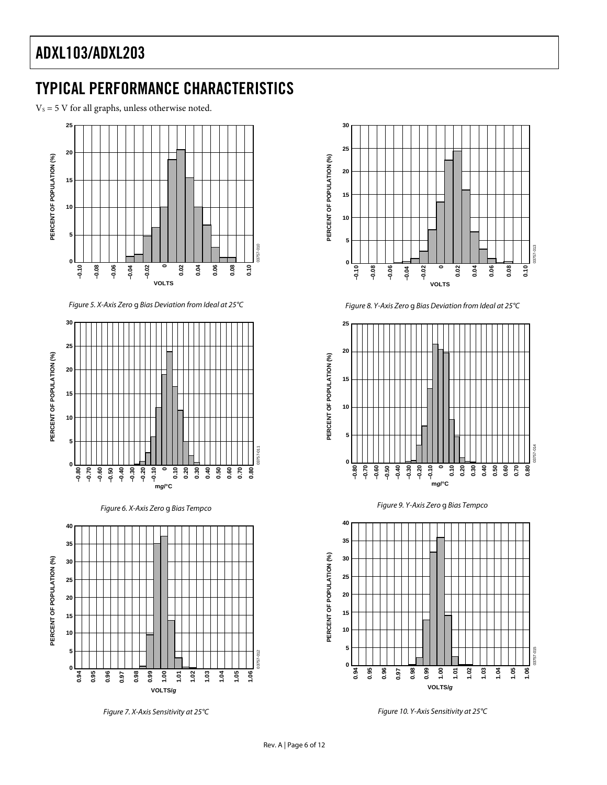## <span id="page-5-0"></span>TYPICAL PERFORMANCE CHARACTERISTICS

 $V_s = 5$  V for all graphs, unless otherwise noted.



Figure 5. X-Axis Zero g Bias Deviation from Ideal at 25°C



Figure 6. X-Axis Zero g Bias Tempco



Figure 7. X-Axis Sensitivity at 25°C



Figure 8. Y-Axis Zero g Bias Deviation from Ideal at 25°C







Figure 10. Y-Axis Sensitivity at 25°C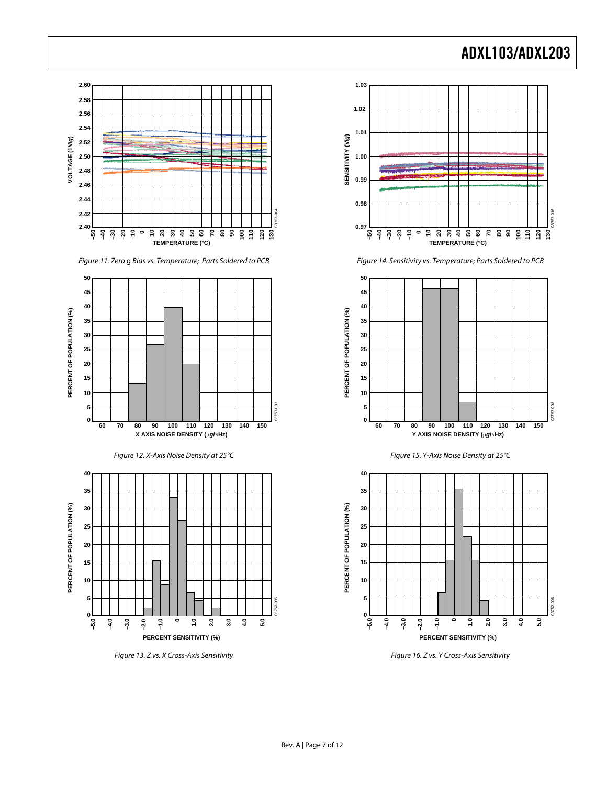

Figure 11. Zero g Bias vs. Temperature; Parts Soldered to PCB

<span id="page-6-0"></span>

Figure 13. Z vs. X Cross-Axis Sensitivity



Figure 14. Sensitivity vs. Temperature; Parts Soldered to PCB



Figure 16. Z vs. Y Cross-Axis Sensitivity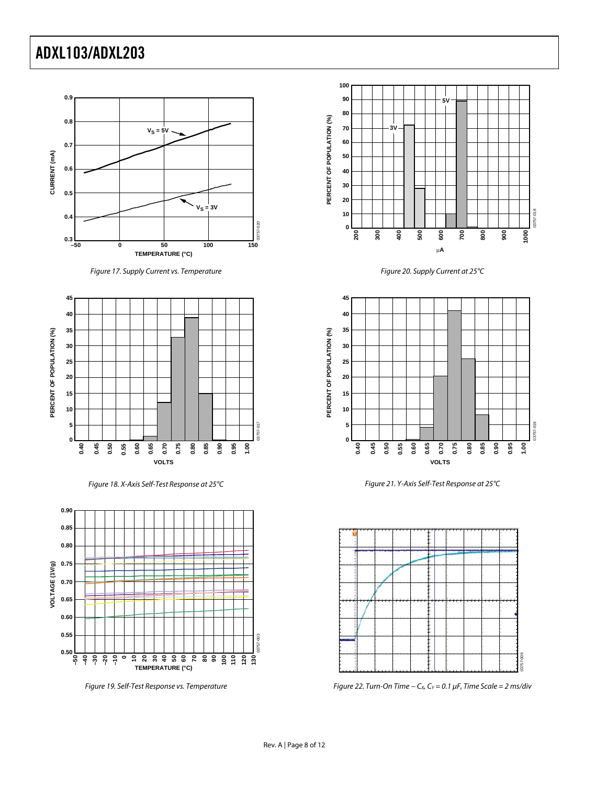

Figure 17. Supply Current vs. Temperature



Figure 18. X-Axis Self-Test Response at 25°C



Figure 19. Self-Test Response vs. Temperature



Figure 20. Supply Current at 25°C



Figure 21. Y-Axis Self-Test Response at 25°C



Figure 22. Turn-On Time  $-C_x$ ,  $C_y = 0.1$   $\mu$ F, Time Scale = 2 ms/div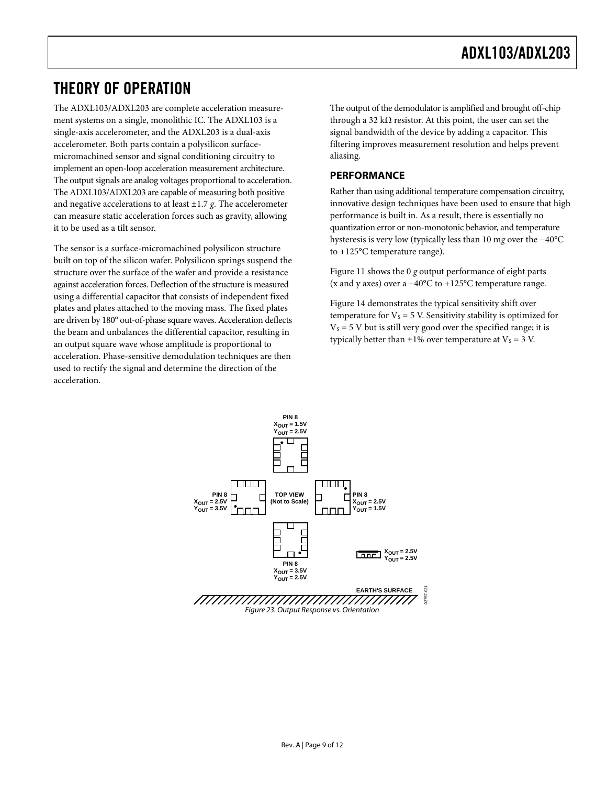### <span id="page-8-0"></span>THEORY OF OPERATION

The ADXL103/ADXL203 are complete acceleration measurement systems on a single, monolithic IC. The ADXL103 is a single-axis accelerometer, and the ADXL203 is a dual-axis accelerometer. Both parts contain a polysilicon surfacemicromachined sensor and signal conditioning circuitry to implement an open-loop acceleration measurement architecture. The output signals are analog voltages proportional to acceleration. The ADXL103/ADXL203 are capable of measuring both positive and negative accelerations to at least  $\pm 1.7$  g. The accelerometer can measure static acceleration forces such as gravity, allowing it to be used as a tilt sensor.

The sensor is a surface-micromachined polysilicon structure built on top of the silicon wafer. Polysilicon springs suspend the structure over the surface of the wafer and provide a resistance against acceleration forces. Deflection of the structure is measured using a differential capacitor that consists of independent fixed plates and plates attached to the moving mass. The fixed plates are driven by 180° out-of-phase square waves. Acceleration deflects the beam and unbalances the differential capacitor, resulting in an output square wave whose amplitude is proportional to acceleration. Phase-sensitive demodulation techniques are then used to rectify the signal and determine the direction of the acceleration.

The output of the demodulator is amplified and brought off-chip through a 32 k $\Omega$  resistor. At this point, the user can set the signal bandwidth of the device by adding a capacitor. This filtering improves measurement resolution and helps prevent aliasing.

#### **PERFORMANCE**

Rather than using additional temperature compensation circuitry, innovative design techniques have been used to ensure that high performance is built in. As a result, there is essentially no quantization error or non-monotonic behavior, and temperature hysteresis is very low (typically less than 10 m*g* over the −40°C to +125°C temperature range).

[Figure 11](#page-6-0) shows the 0 *g* output performance of eight parts (x and y axes) over a −40°C to +125°C temperature range.

[Figure 14](#page-6-0) demonstrates the typical sensitivity shift over temperature for  $V_s = 5$  V. Sensitivity stability is optimized for  $V<sub>S</sub> = 5$  V but is still very good over the specified range; it is typically better than  $\pm 1\%$  over temperature at  $V_s = 3$  V.

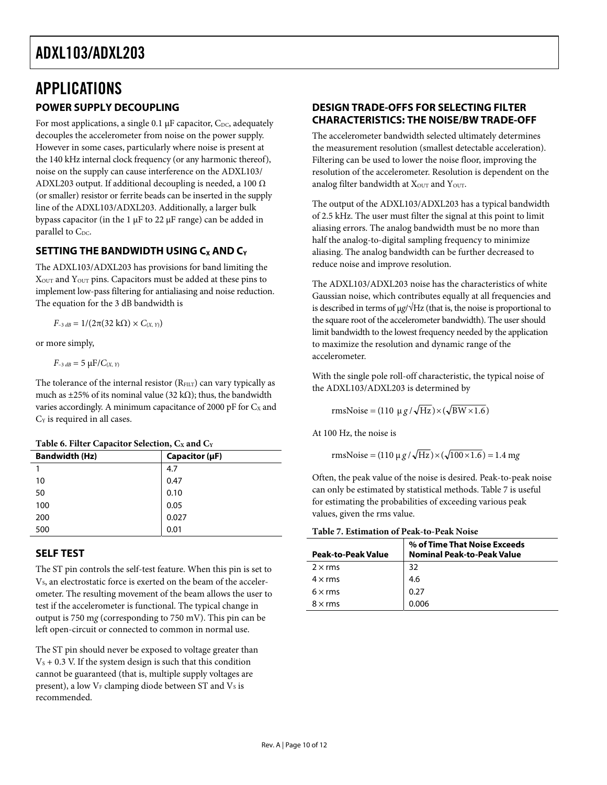### <span id="page-9-0"></span>APPLICATIONS **POWER SUPPLY DECOUPLING**

For most applications, a single 0.1  $\mu$ F capacitor, C<sub>DC</sub>, adequately decouples the accelerometer from noise on the power supply. However in some cases, particularly where noise is present at the 140 kHz internal clock frequency (or any harmonic thereof), noise on the supply can cause interference on the ADXL103/ ADXL203 output. If additional decoupling is needed, a 100  $\Omega$ (or smaller) resistor or ferrite beads can be inserted in the supply line of the ADXL103/ADXL203. Additionally, a larger bulk bypass capacitor (in the 1 μF to 22 μF range) can be added in parallel to C<sub>DC</sub>.

#### **SETTING THE BANDWIDTH USING C<sub>X</sub> AND C<sub>Y</sub>**

The ADXL103/ADXL203 has provisions for band limiting the XOUT and YOUT pins. Capacitors must be added at these pins to implement low-pass filtering for antialiasing and noise reduction. The equation for the 3 dB bandwidth is

*F*<sub>-3</sub> *dB* = 1/(2π(32 kΩ)  $\times$  *C*<sub>(*X*, *Y*)</sub>)

or more simply,

 $F_{-3 dB} = 5 \mu F / C_{(X, Y)}$ 

The tolerance of the internal resistor  $(R<sub>FILT</sub>)$  can vary typically as much as  $\pm$ 25% of its nominal value (32 kΩ); thus, the bandwidth varies accordingly. A minimum capacitance of 2000 pF for  $C_x$  and CY is required in all cases.

| <b>Bandwidth (Hz)</b> | Capacitor $(\mu F)$ |
|-----------------------|---------------------|
|                       | 4.7                 |
| 10                    | 0.47                |
| 50                    | 0.10                |
| 100                   | 0.05                |
| 200                   | 0.027               |
| 500                   | 0.01                |

#### <span id="page-9-1"></span>**SELF TEST**

The ST pin controls the self-test feature. When this pin is set to V<sub>s</sub>, an electrostatic force is exerted on the beam of the accelerometer. The resulting movement of the beam allows the user to test if the accelerometer is functional. The typical change in output is 750 m*g* (corresponding to 750 mV). This pin can be left open-circuit or connected to common in normal use.

The ST pin should never be exposed to voltage greater than  $V<sub>S</sub> + 0.3$  V. If the system design is such that this condition cannot be guaranteed (that is, multiple supply voltages are present), a low  $V_F$  clamping diode between ST and  $V_S$  is recommended.

#### **DESIGN TRADE-OFFS FOR SELECTING FILTER CHARACTERISTICS: THE NOISE/BW TRADE-OFF**

The accelerometer bandwidth selected ultimately determines the measurement resolution (smallest detectable acceleration). Filtering can be used to lower the noise floor, improving the resolution of the accelerometer. Resolution is dependent on the analog filter bandwidth at  $X<sub>OUT</sub>$  and  $Y<sub>OUT</sub>$ .

The output of the ADXL103/ADXL203 has a typical bandwidth of 2.5 kHz. The user must filter the signal at this point to limit aliasing errors. The analog bandwidth must be no more than half the analog-to-digital sampling frequency to minimize aliasing. The analog bandwidth can be further decreased to reduce noise and improve resolution.

The ADXL103/ADXL203 noise has the characteristics of white Gaussian noise, which contributes equally at all frequencies and is described in terms of  $\mu$ *g*/ $\sqrt{Hz}$  (that is, the noise is proportional to the square root of the accelerometer bandwidth). The user should limit bandwidth to the lowest frequency needed by the application to maximize the resolution and dynamic range of the accelerometer.

With the single pole roll-off characteristic, the typical noise of the ADXL103/ADXL203 is determined by

$$
rmsNoise = (110 \mu g / \sqrt{Hz}) \times (\sqrt{BW \times 1.6})
$$

At 100 Hz, the noise is

rmsNoise = 
$$
(110 \mu g / \sqrt{Hz}) \times (\sqrt{100 \times 1.6}) = 1.4
$$
 mg

Often, the peak value of the noise is desired. Peak-to-peak noise can only be estimated by statistical methods. [Table 7](#page-9-1) is useful for estimating the probabilities of exceeding various peak values, given the rms value.

#### **Table 7. Estimation of Peak-to-Peak Noise**

| <b>Peak-to-Peak Value</b> | % of Time That Noise Exceeds<br><b>Nominal Peak-to-Peak Value</b> |
|---------------------------|-------------------------------------------------------------------|
| $2 \times$ rms            | 32                                                                |
| $4 \times$ rms            | 4.6                                                               |
| $6 \times rms$            | 0.27                                                              |
| $8 \times$ rms            | 0.006                                                             |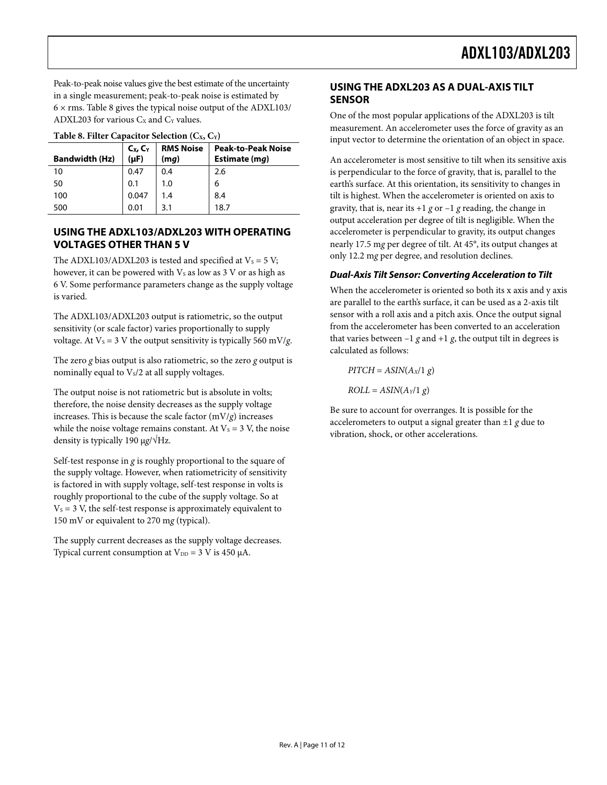<span id="page-10-0"></span>Peak-to-peak noise values give the best estimate of the uncertainty in a single measurement; peak-to-peak noise is estimated by  $6 \times$  rms. [Table 8](#page-10-1) gives the typical noise output of the ADXL103/ ADXL203 for various  $C_x$  and  $C_y$  values.

<span id="page-10-1"></span>

| Twore of Fritter Cuputtion centerion (CA) CH |                         |                          |                                            |  |  |  |  |
|----------------------------------------------|-------------------------|--------------------------|--------------------------------------------|--|--|--|--|
| <b>Bandwidth (Hz)</b>                        | $C_X, C_Y$<br>$(\mu F)$ | <b>RMS Noise</b><br>(mq) | <b>Peak-to-Peak Noise</b><br>Estimate (mq) |  |  |  |  |
| 10                                           | 0.47                    | 0.4                      | 2.6                                        |  |  |  |  |
| 50                                           | 0.1                     | 1.0                      | 6                                          |  |  |  |  |
| 100                                          | 0.047                   | 1.4                      | 8.4                                        |  |  |  |  |
| 500                                          | 0.01                    | 3.1                      | 18.7                                       |  |  |  |  |

| Table 8. Filter Capacitor Selection (Cx, Cy) |  |
|----------------------------------------------|--|
|----------------------------------------------|--|

#### **USING THE ADXL103/ADXL203 WITH OPERATING VOLTAGES OTHER THAN 5 V**

The ADXL103/ADXL203 is tested and specified at  $V_s = 5 V$ ; however, it can be powered with  $V<sub>S</sub>$  as low as 3 V or as high as 6 V. Some performance parameters change as the supply voltage is varied.

The ADXL103/ADXL203 output is ratiometric, so the output sensitivity (or scale factor) varies proportionally to supply voltage. At  $V_s = 3$  V the output sensitivity is typically 560 mV/*g*.

The zero *g* bias output is also ratiometric, so the zero *g* output is nominally equal to  $V_s/2$  at all supply voltages.

The output noise is not ratiometric but is absolute in volts; therefore, the noise density decreases as the supply voltage increases. This is because the scale factor  $(mV/g)$  increases while the noise voltage remains constant. At  $V_s = 3$  V, the noise density is typically 190 μ*g*/√Hz.

Self-test response in *g* is roughly proportional to the square of the supply voltage. However, when ratiometricity of sensitivity is factored in with supply voltage, self-test response in volts is roughly proportional to the cube of the supply voltage. So at  $V<sub>S</sub> = 3$  V, the self-test response is approximately equivalent to 150 mV or equivalent to 270 m*g* (typical).

The supply current decreases as the supply voltage decreases. Typical current consumption at  $V_{DD} = 3$  V is 450  $\mu$ A.

#### **USING THE ADXL203 AS A DUAL-AXIS TILT SENSOR**

One of the most popular applications of the ADXL203 is tilt measurement. An accelerometer uses the force of gravity as an input vector to determine the orientation of an object in space.

An accelerometer is most sensitive to tilt when its sensitive axis is perpendicular to the force of gravity, that is, parallel to the earth's surface. At this orientation, its sensitivity to changes in tilt is highest. When the accelerometer is oriented on axis to gravity, that is, near its +1 *g* or –1 *g* reading, the change in output acceleration per degree of tilt is negligible. When the accelerometer is perpendicular to gravity, its output changes nearly 17.5 m*g* per degree of tilt. At 45°, its output changes at only 12.2 m*g* per degree, and resolution declines.

#### **Dual-Axis Tilt Sensor: Converting Acceleration to Tilt**

When the accelerometer is oriented so both its x axis and y axis are parallel to the earth's surface, it can be used as a 2-axis tilt sensor with a roll axis and a pitch axis. Once the output signal from the accelerometer has been converted to an acceleration that varies between  $-1$  *g* and  $+1$  *g*, the output tilt in degrees is calculated as follows:

 $PITCH = ASIN(A_X/1 g)$ 

 $ROLL = ASIN(A<sub>Y</sub>/1 g)$ 

Be sure to account for overranges. It is possible for the accelerometers to output a signal greater than ±1 *g* due to vibration, shock, or other accelerations.